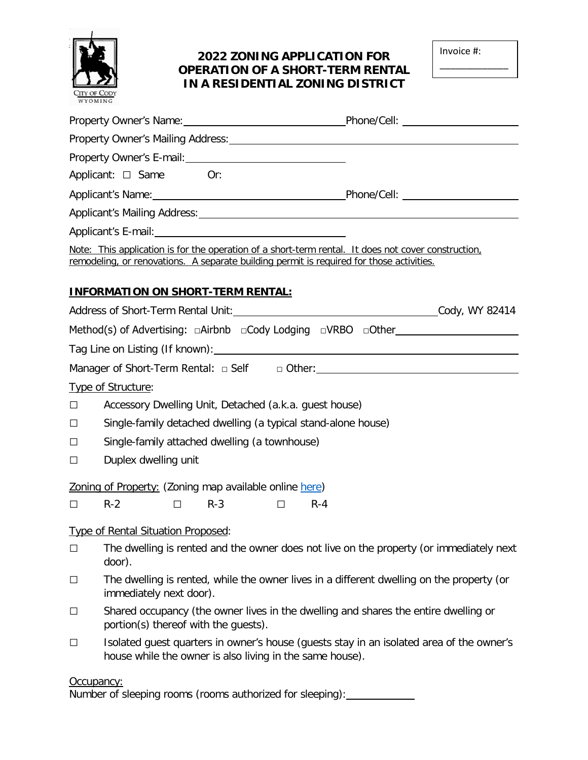

## **2022 ZONING APPLICATION FOR OPERATION OF A SHORT-TERM RENTAL IN A RESIDENTIAL ZONING DISTRICT**

| Invoice #: |  |  |  |  |  |  |  |  |
|------------|--|--|--|--|--|--|--|--|
|------------|--|--|--|--|--|--|--|--|

\_\_\_\_\_\_\_\_\_\_\_\_\_

| WYOMING |                                                                                                                                                                                                                                |            |         |                                                                                           |  |  |
|---------|--------------------------------------------------------------------------------------------------------------------------------------------------------------------------------------------------------------------------------|------------|---------|-------------------------------------------------------------------------------------------|--|--|
|         | Property Owner's Name: 1990 Manual Phone/Cell: 2008 Manual Phone / Cell:                                                                                                                                                       |            |         |                                                                                           |  |  |
|         |                                                                                                                                                                                                                                |            |         |                                                                                           |  |  |
|         | Property Owner's E-mail: 2008 2010 2020 2021                                                                                                                                                                                   |            |         |                                                                                           |  |  |
|         | Applicant: $\Box$ Same Or:                                                                                                                                                                                                     |            |         |                                                                                           |  |  |
|         | Applicant's Name: 1990 Contract Contract Contract Contract Contract Contract Contract Contract Contract Contract Contract Contract Contract Contract Contract Contract Contract Contract Contract Contract Contract Contract C |            |         |                                                                                           |  |  |
|         | Applicant's Mailing Address: Universe and Applicant's Mailing Address:                                                                                                                                                         |            |         |                                                                                           |  |  |
|         |                                                                                                                                                                                                                                |            |         |                                                                                           |  |  |
|         | Note: This application is for the operation of a short-term rental. It does not cover construction,<br>remodeling, or renovations. A separate building permit is required for those activities.                                |            |         |                                                                                           |  |  |
|         | <b>INFORMATION ON SHORT-TERM RENTAL:</b>                                                                                                                                                                                       |            |         |                                                                                           |  |  |
|         |                                                                                                                                                                                                                                |            |         |                                                                                           |  |  |
|         | Method(s) of Advertising: $\Box$ Airbnb $\Box$ Cody Lodging $\Box$ VRBO $\Box$ Other                                                                                                                                           |            |         |                                                                                           |  |  |
|         |                                                                                                                                                                                                                                |            |         |                                                                                           |  |  |
|         | Manager of Short-Term Rental: $\Box$ Self $\Box$ Other: _____________________________                                                                                                                                          |            |         |                                                                                           |  |  |
|         | Type of Structure:                                                                                                                                                                                                             |            |         |                                                                                           |  |  |
| □       | Accessory Dwelling Unit, Detached (a.k.a. guest house)                                                                                                                                                                         |            |         |                                                                                           |  |  |
| □       | Single-family detached dwelling (a typical stand-alone house)                                                                                                                                                                  |            |         |                                                                                           |  |  |
| ⊔       | Single-family attached dwelling (a townhouse)                                                                                                                                                                                  |            |         |                                                                                           |  |  |
| $\Box$  | Duplex dwelling unit                                                                                                                                                                                                           |            |         |                                                                                           |  |  |
|         | Zoning of Property: (Zoning map available online here)                                                                                                                                                                         |            |         |                                                                                           |  |  |
| $\Box$  | $R-2$<br>П.                                                                                                                                                                                                                    | $R-3$<br>П | $R - 4$ |                                                                                           |  |  |
|         | Type of Rental Situation Proposed:                                                                                                                                                                                             |            |         |                                                                                           |  |  |
| □       | door).                                                                                                                                                                                                                         |            |         | The dwelling is rented and the owner does not live on the property (or immediately next   |  |  |
| $\Box$  | immediately next door).                                                                                                                                                                                                        |            |         | The dwelling is rented, while the owner lives in a different dwelling on the property (or |  |  |
| $\Box$  | Shared occupancy (the owner lives in the dwelling and shares the entire dwelling or<br>portion(s) thereof with the guests).                                                                                                    |            |         |                                                                                           |  |  |
| $\Box$  | house while the owner is also living in the same house).                                                                                                                                                                       |            |         | Isolated quest quarters in owner's house (quests stay in an isolated area of the owner's  |  |  |

#### Occupancy:

Number of sleeping rooms (rooms authorized for sleeping):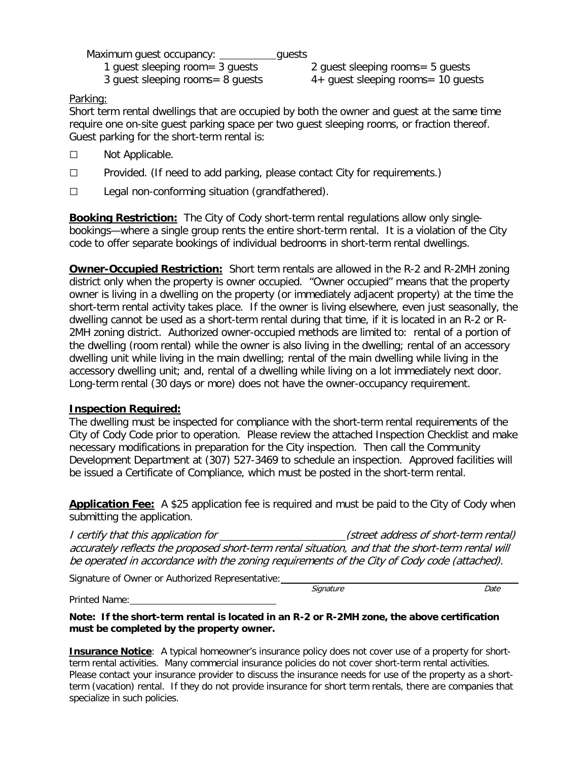Maximum quest occupancy: quests 1 guest sleeping room= 3 guests 2 guest sleeping rooms= 5 guests 3 guest sleeping rooms= 8 guests 4+ guest sleeping rooms= 10 guests

Parking:

Short term rental dwellings that are occupied by both the owner and guest at the same time require one on-site guest parking space per two guest sleeping rooms, or fraction thereof. Guest parking for the short-term rental is:

- □ Not Applicable.
- $\square$  Provided. (If need to add parking, please contact City for requirements.)
- $\square$  Legal non-conforming situation (grandfathered).

**Booking Restriction:** The City of Cody short-term rental regulations allow only singlebookings—where a single group rents the entire short-term rental. It is a violation of the City code to offer separate bookings of individual bedrooms in short-term rental dwellings.

**Owner-Occupied Restriction:** Short term rentals are allowed in the R-2 and R-2MH zoning district only when the property is owner occupied. "Owner occupied" means that the property owner is living in a dwelling on the property (or immediately adjacent property) at the time the short-term rental activity takes place. If the owner is living elsewhere, even just seasonally, the dwelling cannot be used as a short-term rental during that time, if it is located in an R-2 or R-2MH zoning district. Authorized owner-occupied methods are limited to: rental of a portion of the dwelling (room rental) while the owner is also living in the dwelling; rental of an accessory dwelling unit while living in the main dwelling; rental of the main dwelling while living in the accessory dwelling unit; and, rental of a dwelling while living on a lot immediately next door. Long-term rental (30 days or more) does not have the owner-occupancy requirement.

### **Inspection Required:**

The dwelling must be inspected for compliance with the short-term rental requirements of the City of Cody Code prior to operation. Please review the attached Inspection Checklist and make necessary modifications in preparation for the City inspection. Then call the Community Development Department at (307) 527-3469 to schedule an inspection. Approved facilities will be issued a Certificate of Compliance, which must be posted in the short-term rental.

**Application Fee:** A \$25 application fee is required and must be paid to the City of Cody when submitting the application.

I certify that this application for \_\_\_\_\_\_\_\_\_\_\_\_\_\_\_\_\_\_\_\_\_\_\_(street address of short-term rental) accurately reflects the proposed short-term rental situation, and that the short-term rental will be operated in accordance with the zoning requirements of the City of Cody code (attached).

Signature of Owner or Authorized Representative:

**Signature Constant Constant Constant Constant Constant Constant Constant Constant Constant Constant Constant Constant Constant Constant Constant Constant Constant Constant Constant Constant Constant Constant Constant Co** 

Printed Name:

**Note: If the short-term rental is located in an R-2 or R-2MH zone, the above certification must be completed by the property owner.**

**Insurance Notice**: A typical homeowner's insurance policy does not cover use of a property for shortterm rental activities. Many commercial insurance policies do not cover short-term rental activities. Please contact your insurance provider to discuss the insurance needs for use of the property as a shortterm (vacation) rental. If they do not provide insurance for short term rentals, there are companies that specialize in such policies.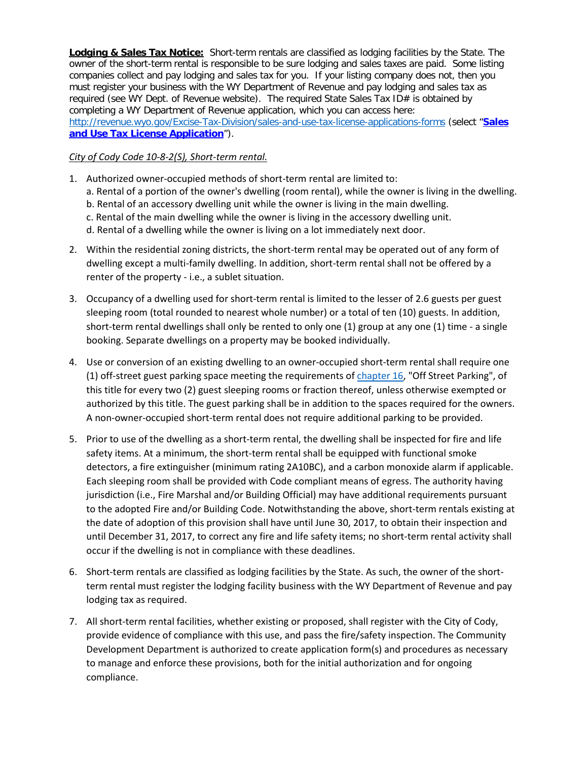**Lodging & Sales Tax Notice:** Short-term rentals are classified as lodging facilities by the State. The owner of the short-term rental is responsible to be sure lodging and sales taxes are paid. Some listing companies collect and pay lodging and sales tax for you. If your listing company does not, then you must register your business with the WY Department of Revenue and pay lodging and sales tax as required (see WY Dept. of Revenue website). The required State Sales Tax ID# is obtained by completing a WY Department of Revenue application, which you can access here: <http://revenue.wyo.gov/Excise-Tax-Division/sales-and-use-tax-license-applications-forms> (select "**[Sales](http://revenue.wyo.gov/001.1-SalesandUseTaxLicenseApplication.pdf?attredirects=0)  [and Use Tax License Application](http://revenue.wyo.gov/001.1-SalesandUseTaxLicenseApplication.pdf?attredirects=0)**").

#### *City of Cody Code 10-8-2(S), Short-term rental.*

- 1. Authorized owner-occupied methods of short-term rental are limited to:
	- a. Rental of a portion of the owner's dwelling (room rental), while the owner is living in the dwelling.
	- b. Rental of an accessory dwelling unit while the owner is living in the main dwelling.
	- c. Rental of the main dwelling while the owner is living in the accessory dwelling unit.
	- d. Rental of a dwelling while the owner is living on a lot immediately next door.
- 2. Within the residential zoning districts, the short-term rental may be operated out of any form of dwelling except a multi-family dwelling. In addition, short-term rental shall not be offered by a renter of the property - i.e., a sublet situation.
- 3. Occupancy of a dwelling used for short-term rental is limited to the lesser of 2.6 guests per guest sleeping room (total rounded to nearest whole number) or a total of ten (10) guests. In addition, short-term rental dwellings shall only be rented to only one (1) group at any one (1) time - a single booking. Separate dwellings on a property may be booked individually.
- 4. Use or conversion of an existing dwelling to an owner-occupied short-term rental shall require one (1) off-street guest parking space meeting the requirements of [chapter 16,](https://codelibrary.amlegal.com/codes/codywy/latest/cody_wy/0-0-0-4933) "Off Street Parking", of this title for every two (2) guest sleeping rooms or fraction thereof, unless otherwise exempted or authorized by this title. The guest parking shall be in addition to the spaces required for the owners. A non-owner-occupied short-term rental does not require additional parking to be provided.
- 5. Prior to use of the dwelling as a short-term rental, the dwelling shall be inspected for fire and life safety items. At a minimum, the short-term rental shall be equipped with functional smoke detectors, a fire extinguisher (minimum rating 2A10BC), and a carbon monoxide alarm if applicable. Each sleeping room shall be provided with Code compliant means of egress. The authority having jurisdiction (i.e., Fire Marshal and/or Building Official) may have additional requirements pursuant to the adopted Fire and/or Building Code. Notwithstanding the above, short-term rentals existing at the date of adoption of this provision shall have until June 30, 2017, to obtain their inspection and until December 31, 2017, to correct any fire and life safety items; no short-term rental activity shall occur if the dwelling is not in compliance with these deadlines.
- 6. Short-term rentals are classified as lodging facilities by the State. As such, the owner of the shortterm rental must register the lodging facility business with the WY Department of Revenue and pay lodging tax as required.
- 7. All short-term rental facilities, whether existing or proposed, shall register with the City of Cody, provide evidence of compliance with this use, and pass the fire/safety inspection. The Community Development Department is authorized to create application form(s) and procedures as necessary to manage and enforce these provisions, both for the initial authorization and for ongoing compliance.